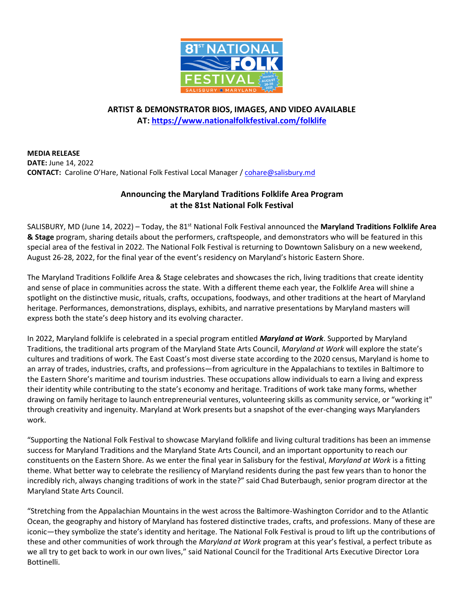

## **ARTIST & DEMONSTRATOR BIOS, IMAGES, AND VIDEO AVAILABLE AT: <https://www.nationalfolkfestival.com/folklife>**

**MEDIA RELEASE DATE:** June 14, 2022 **CONTACT:** Caroline O'Hare, National Folk Festival Local Manager / [cohare@salisbury.md](mailto:cohare@salisbury.md)

# **Announcing the Maryland Traditions Folklife Area Program at the 81st National Folk Festival**

SALISBURY, MD (June 14, 2022) – Today, the 81st National Folk Festival announced the **Maryland Traditions Folklife Area & Stage** program, sharing details about the performers, craftspeople, and demonstrators who will be featured in this special area of the festival in 2022. The National Folk Festival is returning to Downtown Salisbury on a new weekend, August 26-28, 2022, for the final year of the event's residency on Maryland's historic Eastern Shore.

The Maryland Traditions Folklife Area & Stage celebrates and showcases the rich, living traditions that create identity and sense of place in communities across the state. With a different theme each year, the Folklife Area will shine a spotlight on the distinctive music, rituals, crafts, occupations, foodways, and other traditions at the heart of Maryland heritage. Performances, demonstrations, displays, exhibits, and narrative presentations by Maryland masters will express both the state's deep history and its evolving character.

In 2022, Maryland folklife is celebrated in a special program entitled *Maryland at Work*. Supported by Maryland Traditions, the traditional arts program of the Maryland State Arts Council, *Maryland at Work* will explore the state's cultures and traditions of work. The East Coast's most diverse state according to the 2020 census, Maryland is home to an array of trades, industries, crafts, and professions—from agriculture in the Appalachians to textiles in Baltimore to the Eastern Shore's maritime and tourism industries. These occupations allow individuals to earn a living and express their identity while contributing to the state's economy and heritage. Traditions of work take many forms, whether drawing on family heritage to launch entrepreneurial ventures, volunteering skills as community service, or "working it" through creativity and ingenuity. Maryland at Work presents but a snapshot of the ever-changing ways Marylanders work.

"Supporting the National Folk Festival to showcase Maryland folklife and living cultural traditions has been an immense success for Maryland Traditions and the Maryland State Arts Council, and an important opportunity to reach our constituents on the Eastern Shore. As we enter the final year in Salisbury for the festival, *Maryland at Work* is a fitting theme. What better way to celebrate the resiliency of Maryland residents during the past few years than to honor the incredibly rich, always changing traditions of work in the state?" said Chad Buterbaugh, senior program director at the Maryland State Arts Council.

"Stretching from the Appalachian Mountains in the west across the Baltimore-Washington Corridor and to the Atlantic Ocean, the geography and history of Maryland has fostered distinctive trades, crafts, and professions. Many of these are iconic—they symbolize the state's identity and heritage. The National Folk Festival is proud to lift up the contributions of these and other communities of work through the *Maryland at Work* program at this year's festival, a perfect tribute as we all try to get back to work in our own lives," said National Council for the Traditional Arts Executive Director Lora Bottinelli.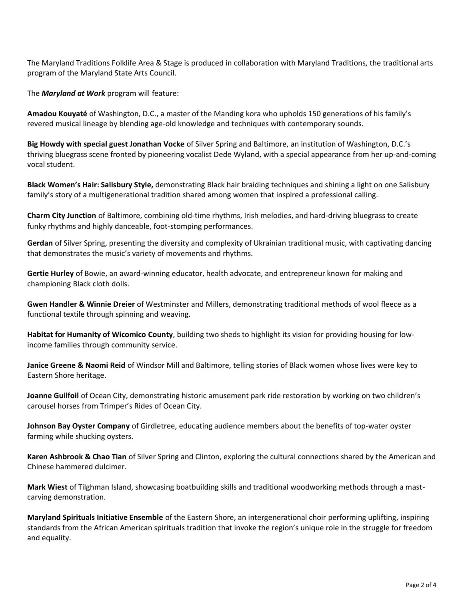The Maryland Traditions Folklife Area & Stage is produced in collaboration with Maryland Traditions, the traditional arts program of the Maryland State Arts Council.

The *Maryland at Work* program will feature:

**Amadou Kouyaté** of Washington, D.C., a master of the Manding kora who upholds 150 generations of his family's revered musical lineage by blending age-old knowledge and techniques with contemporary sounds.

**Big Howdy with special guest Jonathan Vocke** of Silver Spring and Baltimore, an institution of Washington, D.C.'s thriving bluegrass scene fronted by pioneering vocalist Dede Wyland, with a special appearance from her up-and-coming vocal student.

**Black Women's Hair: Salisbury Style,** demonstrating Black hair braiding techniques and shining a light on one Salisbury family's story of a multigenerational tradition shared among women that inspired a professional calling.

**Charm City Junction** of Baltimore, combining old-time rhythms, Irish melodies, and hard-driving bluegrass to create funky rhythms and highly danceable, foot-stomping performances.

**Gerdan** of Silver Spring, presenting the diversity and complexity of Ukrainian traditional music, with captivating dancing that demonstrates the music's variety of movements and rhythms.

**Gertie Hurley** of Bowie, an award-winning educator, health advocate, and entrepreneur known for making and championing Black cloth dolls.

**Gwen Handler & Winnie Dreier** of Westminster and Millers, demonstrating traditional methods of wool fleece as a functional textile through spinning and weaving.

**Habitat for Humanity of Wicomico County**, building two sheds to highlight its vision for providing housing for lowincome families through community service.

**Janice Greene & Naomi Reid** of Windsor Mill and Baltimore, telling stories of Black women whose lives were key to Eastern Shore heritage.

**Joanne Guilfoil** of Ocean City, demonstrating historic amusement park ride restoration by working on two children's carousel horses from Trimper's Rides of Ocean City.

**Johnson Bay Oyster Company** of Girdletree, educating audience members about the benefits of top-water oyster farming while shucking oysters.

**Karen Ashbrook & Chao Tian** of Silver Spring and Clinton, exploring the cultural connections shared by the American and Chinese hammered dulcimer.

**Mark Wiest** of Tilghman Island, showcasing boatbuilding skills and traditional woodworking methods through a mastcarving demonstration.

**Maryland Spirituals Initiative Ensemble** of the Eastern Shore, an intergenerational choir performing uplifting, inspiring standards from the African American spirituals tradition that invoke the region's unique role in the struggle for freedom and equality.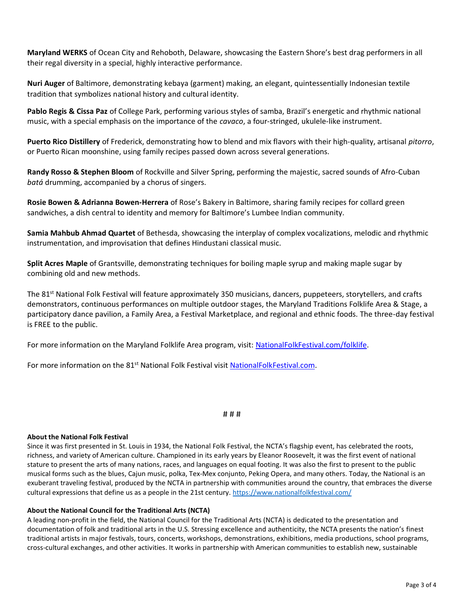**Maryland WERKS** of Ocean City and Rehoboth, Delaware, showcasing the Eastern Shore's best drag performers in all their regal diversity in a special, highly interactive performance.

**Nuri Auger** of Baltimore, demonstrating kebaya (garment) making, an elegant, quintessentially Indonesian textile tradition that symbolizes national history and cultural identity.

**Pablo Regis & Cissa Paz** of College Park, performing various styles of samba, Brazil's energetic and rhythmic national music, with a special emphasis on the importance of the *cavaco*, a four-stringed, ukulele-like instrument.

**Puerto Rico Distillery** of Frederick, demonstrating how to blend and mix flavors with their high-quality, artisanal *pitorro*, or Puerto Rican moonshine, using family recipes passed down across several generations.

**Randy Rosso & Stephen Bloom** of Rockville and Silver Spring, performing the majestic, sacred sounds of Afro-Cuban *batá* drumming, accompanied by a chorus of singers.

**Rosie Bowen & Adrianna Bowen-Herrera** of Rose's Bakery in Baltimore, sharing family recipes for collard green sandwiches, a dish central to identity and memory for Baltimore's Lumbee Indian community.

**Samia Mahbub Ahmad Quartet** of Bethesda, showcasing the interplay of complex vocalizations, melodic and rhythmic instrumentation, and improvisation that defines Hindustani classical music.

**Split Acres Maple** of Grantsville, demonstrating techniques for boiling maple syrup and making maple sugar by combining old and new methods.

The 81<sup>st</sup> National Folk Festival will feature approximately 350 musicians, dancers, puppeteers, storytellers, and crafts demonstrators, continuous performances on multiple outdoor stages, the Maryland Traditions Folklife Area & Stage, a participatory dance pavilion, a Family Area, a Festival Marketplace, and regional and ethnic foods. The three-day festival is FREE to the public.

For more information on the Maryland Folklife Area program, visit: [NationalFolkFestival.com/folklife.](https://www.nationalfolkfestival.com/folklife)

For more information on the 81<sup>st</sup> National Folk Festival visit [NationalFolkFestival.com.](http://nationalfolkfestival.com/)

# # #

### **About the National Folk Festival**

Since it was first presented in St. Louis in 1934, the National Folk Festival, the NCTA's flagship event, has celebrated the roots, richness, and variety of American culture. Championed in its early years by Eleanor Roosevelt, it was the first event of national stature to present the arts of many nations, races, and languages on equal footing. It was also the first to present to the public musical forms such as the blues, Cajun music, polka, Tex-Mex conjunto, Peking Opera, and many others. Today, the National is an exuberant traveling festival, produced by the NCTA in partnership with communities around the country, that embraces the diverse cultural expressions that define us as a people in the 21st century.<https://www.nationalfolkfestival.com/>

### **About the National Council for the Traditional Arts (NCTA)**

A leading non-profit in the field, the National Council for the Traditional Arts (NCTA) is dedicated to the presentation and documentation of folk and traditional arts in the U.S. Stressing excellence and authenticity, the NCTA presents the nation's finest traditional artists in major festivals, tours, concerts, workshops, demonstrations, exhibitions, media productions, school programs, cross-cultural exchanges, and other activities. It works in partnership with American communities to establish new, sustainable